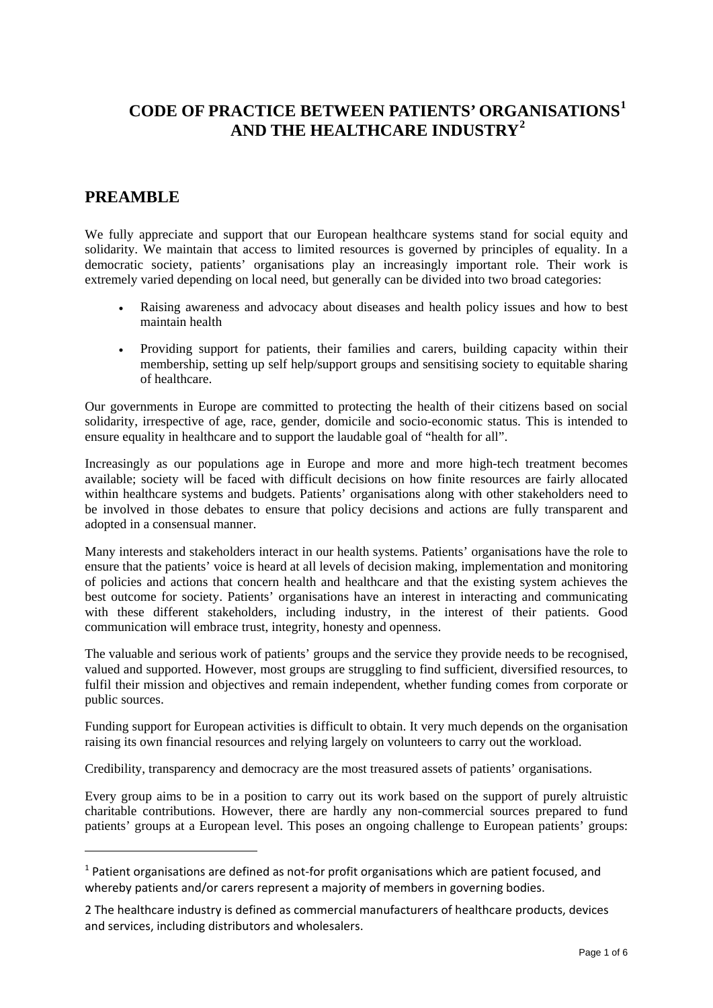# **CODE OF PRACTICE BETWEEN PATIENTS' ORG[A](#page-0-1)NISATIONS[1](#page-0-0) AND THE HEALTHCARE INDUSTRY[2](#page-0-1)**

## **PREAMBLE**

We fully appreciate and support that our European healthcare systems stand for social equity and solidarity. We maintain that access to limited resources is governed by principles of equality. In a democratic society, patients' organisations play an increasingly important role. Their work is extremely varied depending on local need, but generally can be divided into two broad categories:

- Raising awareness and advocacy about diseases and health policy issues and how to best maintain health
- Providing support for patients, their families and carers, building capacity within their membership, setting up self help/support groups and sensitising society to equitable sharing of healthcare.

Our governments in Europe are committed to protecting the health of their citizens based on social solidarity, irrespective of age, race, gender, domicile and socio-economic status. This is intended to ensure equality in healthcare and to support the laudable goal of "health for all".

Increasingly as our populations age in Europe and more and more high-tech treatment becomes available; society will be faced with difficult decisions on how finite resources are fairly allocated within healthcare systems and budgets. Patients' organisations along with other stakeholders need to be involved in those debates to ensure that policy decisions and actions are fully transparent and adopted in a consensual manner.

Many interests and stakeholders interact in our health systems. Patients' organisations have the role to ensure that the patients' voice is heard at all levels of decision making, implementation and monitoring of policies and actions that concern health and healthcare and that the existing system achieves the best outcome for society. Patients' organisations have an interest in interacting and communicating with these different stakeholders, including industry, in the interest of their patients. Good communication will embrace trust, integrity, honesty and openness.

The valuable and serious work of patients' groups and the service they provide needs to be recognised, valued and supported. However, most groups are struggling to find sufficient, diversified resources, to fulfil their mission and objectives and remain independent, whether funding comes from corporate or public sources.

Funding support for European activities is difficult to obtain. It very much depends on the organisation raising its own financial resources and relying largely on volunteers to carry out the workload.

Credibility, transparency and democracy are the most treasured assets of patients' organisations.

Every group aims to be in a position to carry out its work based on the support of purely altruistic charitable contributions. However, there are hardly any non-commercial sources prepared to fund patients' groups at a European level. This poses an ongoing challenge to European patients' groups:

<span id="page-0-0"></span> $<sup>1</sup>$  Patient organisations are defined as not-for profit organisations which are patient focused, and</sup> whereby patients and/or carers represent a majority of members in governing bodies.

<span id="page-0-1"></span><sup>2</sup> The healthcare industry is defined as commercial manufacturers of healthcare products, devices and services, including distributors and wholesalers.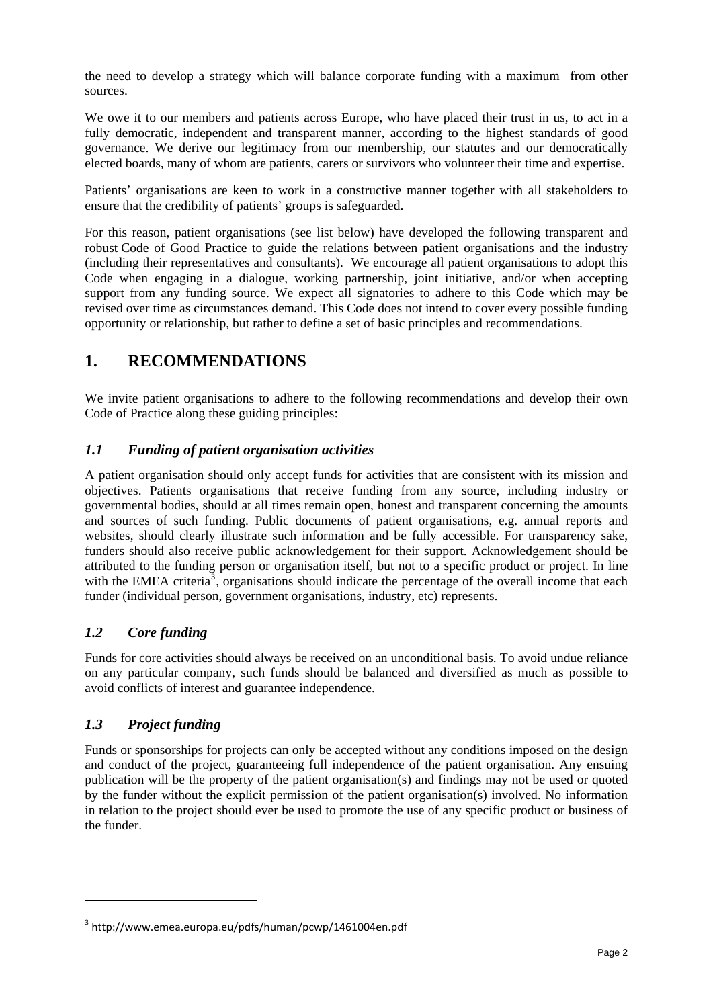the need to develop a strategy which will balance corporate funding with a maximum from other sources.

We owe it to our members and patients across Europe, who have placed their trust in us, to act in a fully democratic, independent and transparent manner, according to the highest standards of good governance. We derive our legitimacy from our membership, our statutes and our democratically elected boards, many of whom are patients, carers or survivors who volunteer their time and expertise.

Patients' organisations are keen to work in a constructive manner together with all stakeholders to ensure that the credibility of patients' groups is safeguarded.

For this reason, patient organisations (see list below) have developed the following transparent and robust Code of Good Practice to guide the relations between patient organisations and the industry (including their representatives and consultants). We encourage all patient organisations to adopt this Code when engaging in a dialogue, working partnership, joint initiative, and/or when accepting support from any funding source. We expect all signatories to adhere to this Code which may be revised over time as circumstances demand. This Code does not intend to cover every possible funding opportunity or relationship, but rather to define a set of basic principles and recommendations.

# **1. RECOMMENDATIONS**

We invite patient organisations to adhere to the following recommendations and develop their own Code of Practice along these guiding principles:

## *1.1 Funding of patient organisation activities*

A patient organisation should only accept funds for activities that are consistent with its mission and objectives. Patients organisations that receive funding from any source, including industry or governmental bodies, should at all times remain open, honest and transparent concerning the amounts and sources of such funding. Public documents of patient organisations, e.g. annual reports and websites, should clearly illustrate such information and be fully accessible. For transparency sake, funders should also receive public acknowledgement for their support. Acknowledgement should be attributed to the funding person or organisation itself, but not to a specific product or project. In line with the EMEA criteria<sup>[3](#page-1-0)</sup>, organisations should indicate the percentage of the overall income that each funder (individual person, government organisations, industry, etc) represents.

## *1.2 Core funding*

Funds for core activities should always be received on an unconditional basis. To avoid undue reliance on any particular company, such funds should be balanced and diversified as much as possible to avoid conflicts of interest and guarantee independence.

#### *1.3 Project funding*

Funds or sponsorships for projects can only be accepted without any conditions imposed on the design and conduct of the project, guaranteeing full independence of the patient organisation. Any ensuing publication will be the property of the patient organisation(s) and findings may not be used or quoted by the funder without the explicit permission of the patient organisation(s) involved. No information in relation to the project should ever be used to promote the use of any specific product or business of the funder.

<span id="page-1-0"></span><sup>3</sup> http://www.emea.europa.eu/pdfs/human/pcwp/1461004en.pdf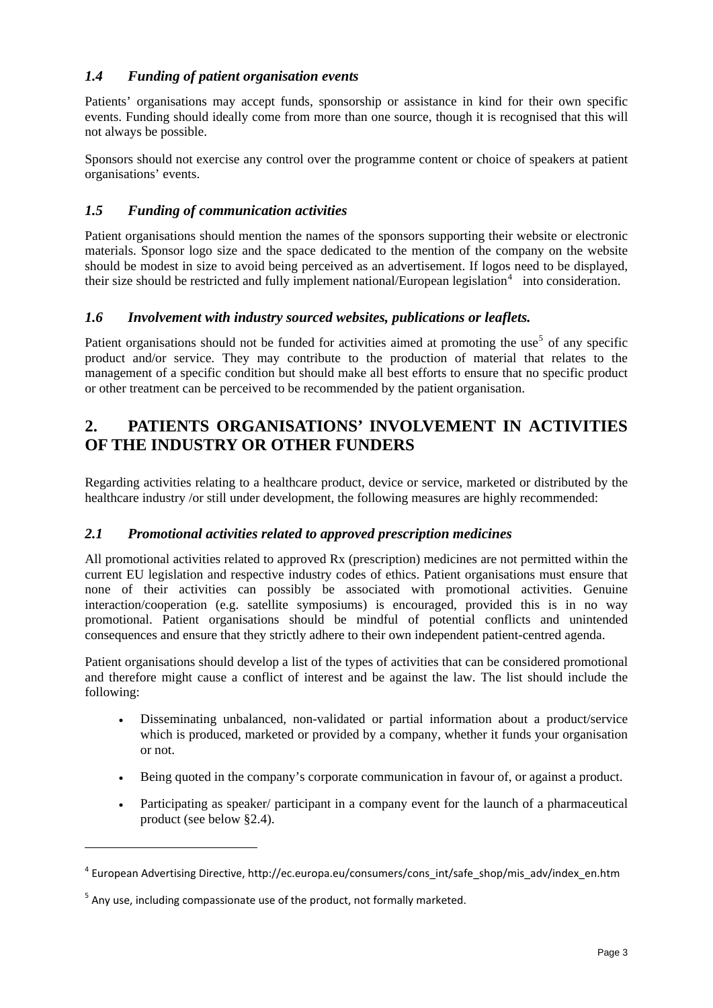## *1.4 Funding of patient organisation events*

Patients' organisations may accept funds, sponsorship or assistance in kind for their own specific events. Funding should ideally come from more than one source, though it is recognised that this will not always be possible.

Sponsors should not exercise any control over the programme content or choice of speakers at patient organisations' events.

## *1.5 Funding of communication activities*

Patient organisations should mention the names of the sponsors supporting their website or electronic materials. Sponsor logo size and the space dedicated to the mention of the company on the website should be modest in size to avoid being perceived as an advertisement. If logos need to be displayed, their size should be restricted and fully implement national/European legislation<sup>[4](#page-2-0)</sup> into consideration.

#### *1.6 Involvement with industry sourced websites, publications or leaflets.*

Patient organisations should not be funded for activities aimed at promoting the use<sup>[5](#page-2-1)</sup> of any specific product and/or service. They may contribute to the production of material that relates to the management of a specific condition but should make all best efforts to ensure that no specific product or other treatment can be perceived to be recommended by the patient organisation.

# **2. PATIENTS ORGANISATIONS' INVOLVEMENT IN ACTIVITIES OF THE INDUSTRY OR OTHER FUNDERS**

Regarding activities relating to a healthcare product, device or service, marketed or distributed by the healthcare industry /or still under development, the following measures are highly recommended:

#### *2.1 Promotional activities related to approved prescription medicines*

All promotional activities related to approved Rx (prescription) medicines are not permitted within the current EU legislation and respective industry codes of ethics. Patient organisations must ensure that none of their activities can possibly be associated with promotional activities. Genuine interaction/cooperation (e.g. satellite symposiums) is encouraged, provided this is in no way promotional. Patient organisations should be mindful of potential conflicts and unintended consequences and ensure that they strictly adhere to their own independent patient-centred agenda.

Patient organisations should develop a list of the types of activities that can be considered promotional and therefore might cause a conflict of interest and be against the law. The list should include the following:

- Disseminating unbalanced, non-validated or partial information about a product/service which is produced, marketed or provided by a company, whether it funds your organisation or not.
- Being quoted in the company's corporate communication in favour of, or against a product.
- Participating as speaker/ participant in a company event for the launch of a pharmaceutical product (see below [§2.4](#page-3-0)).

<span id="page-2-0"></span><sup>4</sup> European Advertising Directive, http://ec.europa.eu/consumers/cons\_int/safe\_shop/mis\_adv/index\_en.htm

<span id="page-2-1"></span> $5$  Any use, including compassionate use of the product, not formally marketed.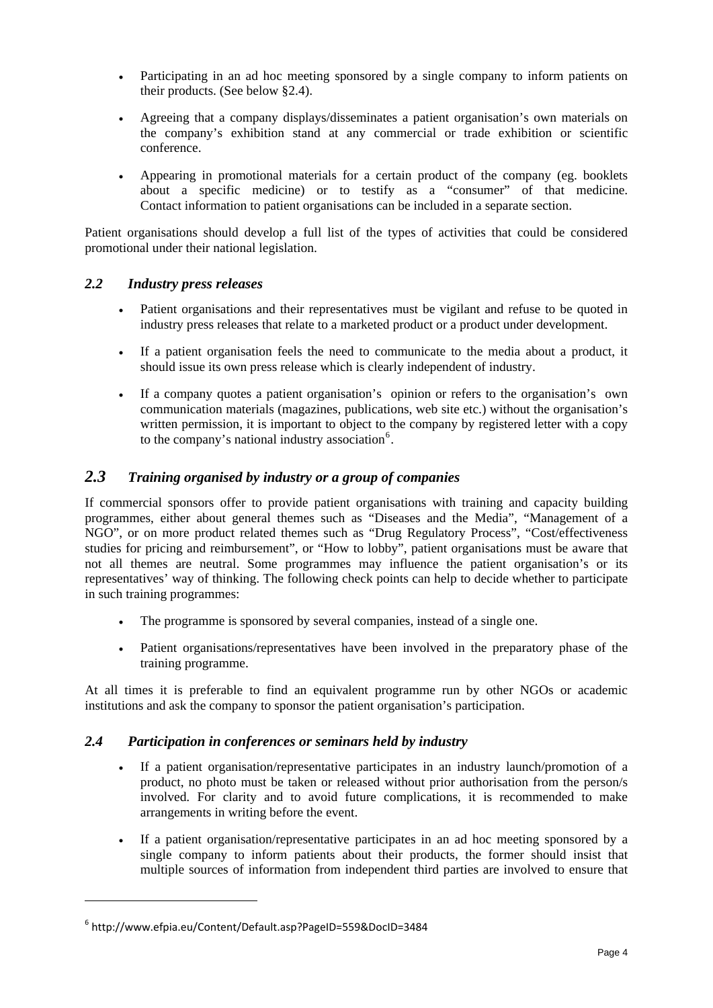- Participating in an ad hoc meeting sponsored by a single company to inform patients on their products. (See below §[2.4\)](#page-3-0).
- Agreeing that a company displays/disseminates a patient organisation's own materials on the company's exhibition stand at any commercial or trade exhibition or scientific conference.
- Appearing in promotional materials for a certain product of the company (eg. booklets about a specific medicine) or to testify as a "consumer" of that medicine. Contact information to patient organisations can be included in a separate section.

Patient organisations should develop a full list of the types of activities that could be considered promotional under their national legislation.

#### *2.2 Industry press releases*

- Patient organisations and their representatives must be vigilant and refuse to be quoted in industry press releases that relate to a marketed product or a product under development.
- If a patient organisation feels the need to communicate to the media about a product, it should issue its own press release which is clearly independent of industry.
- If a company quotes a patient organisation's opinion or refers to the organisation's own communication materials (magazines, publications, web site etc.) without the organisation's written permission, it is important to object to the company by registered letter with a copy to the company's national industry association<sup>[6](#page-3-1)</sup>.

## *2.3 Training organised by industry or a group of companies*

If commercial sponsors offer to provide patient organisations with training and capacity building programmes, either about general themes such as "Diseases and the Media", "Management of a NGO", or on more product related themes such as "Drug Regulatory Process", "Cost/effectiveness studies for pricing and reimbursement", or "How to lobby", patient organisations must be aware that not all themes are neutral. Some programmes may influence the patient organisation's or its representatives' way of thinking. The following check points can help to decide whether to participate in such training programmes:

- The programme is sponsored by several companies, instead of a single one.
- Patient organisations/representatives have been involved in the preparatory phase of the training programme.

At all times it is preferable to find an equivalent programme run by other NGOs or academic institutions and ask the company to sponsor the patient organisation's participation.

#### <span id="page-3-0"></span>*2.4 Participation in conferences or seminars held by industry*

- If a patient organisation/representative participates in an industry launch/promotion of a product, no photo must be taken or released without prior authorisation from the person/s involved. For clarity and to avoid future complications, it is recommended to make arrangements in writing before the event.
- If a patient organisation/representative participates in an ad hoc meeting sponsored by a single company to inform patients about their products, the former should insist that multiple sources of information from independent third parties are involved to ensure that

<span id="page-3-1"></span><sup>6</sup> http://www.efpia.eu/Content/Default.asp?PageID=559&DocID=3484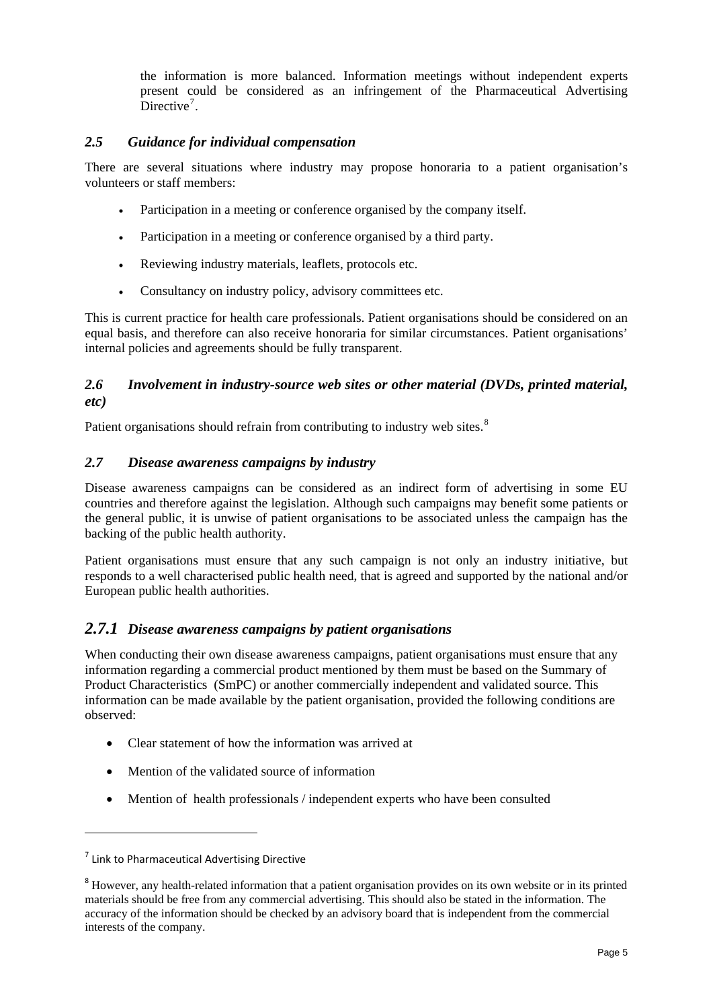the information is more balanced. Information meetings without independent experts present could be considered as an infringement of the Pharmaceutical Advertising Directive<sup>7</sup>.

### *2.5 Guidance for individual compensation*

There are several situations where industry may propose honoraria to a patient organisation's volunteers or staff members:

- Participation in a meeting or conference organised by the company itself.
- Participation in a meeting or conference organised by a third party.
- Reviewing industry materials, leaflets, protocols etc.
- Consultancy on industry policy, advisory committees etc.

This is current practice for health care professionals. Patient organisations should be considered on an equal basis, and therefore can also receive honoraria for similar circumstances. Patient organisations' internal policies and agreements should be fully transparent.

### *2.6 Involvement in industry-source web sites or other material (DVDs, printed material, etc)*

Patient organisations should refrain from contributing to industry web sites.<sup>[8](#page-4-0)</sup>

## *2.7 Disease awareness campaigns by industry*

Disease awareness campaigns can be considered as an indirect form of advertising in some EU countries and therefore against the legislation. Although such campaigns may benefit some patients or the general public, it is unwise of patient organisations to be associated unless the campaign has the backing of the public health authority.

Patient organisations must ensure that any such campaign is not only an industry initiative, but responds to a well characterised public health need, that is agreed and supported by the national and/or European public health authorities.

## *2.7.1 Disease awareness campaigns by patient organisations*

When conducting their own disease awareness campaigns, patient organisations must ensure that any information regarding a commercial product mentioned by them must be based on the Summary of Product Characteristics (SmPC) or another commercially independent and validated source. This information can be made available by the patient organisation, provided the following conditions are observed:

- Clear statement of how the information was arrived at
- Mention of the validated source of information
- Mention of health professionals / independent experts who have been consulted

<sup>7</sup> Link to Pharmaceutical Advertising Directive

<span id="page-4-0"></span><sup>&</sup>lt;sup>8</sup> However, any health-related information that a patient organisation provides on its own website or in its printed materials should be free from any commercial advertising. This should also be stated in the information. The accuracy of the information should be checked by an advisory board that is independent from the commercial interests of the company.